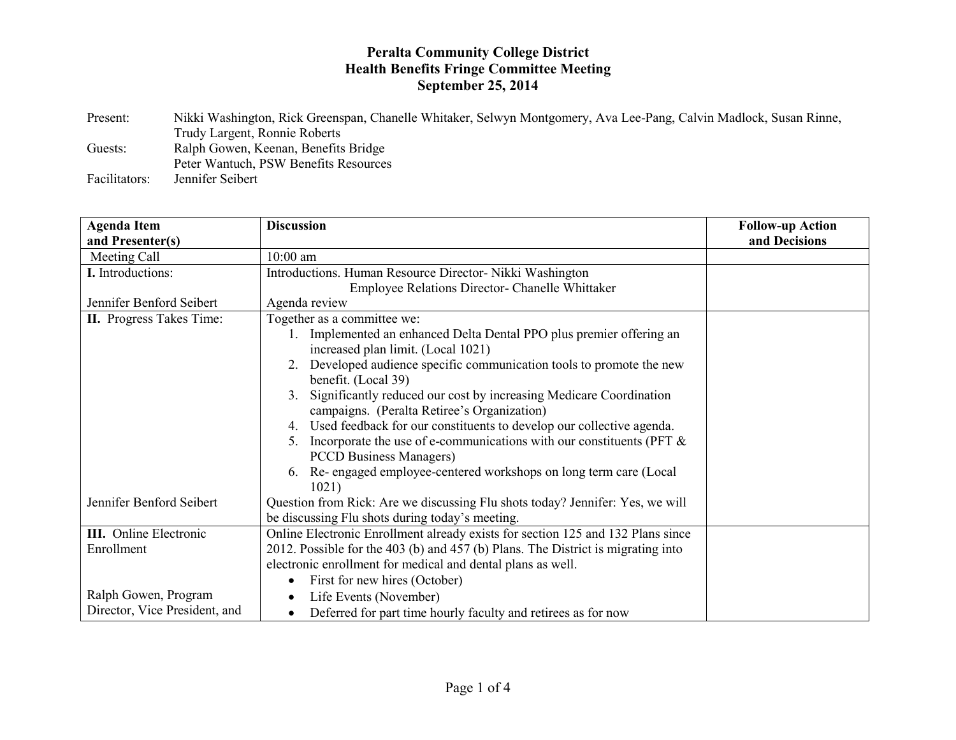## **Peralta Community College District Health Benefits Fringe Committee Meeting September 25, 2014**

Present: Nikki Washington, Rick Greenspan, Chanelle Whitaker, Selwyn Montgomery, Ava Lee-Pang, Calvin Madlock, Susan Rinne, Trudy Largent, Ronnie Roberts Guests: Ralph Gowen, Keenan, Benefits Bridge Peter Wantuch, PSW Benefits Resources Facilitators: Jennifer Seibert

| <b>Agenda Item</b>              | <b>Discussion</b>                                                                  | <b>Follow-up Action</b> |
|---------------------------------|------------------------------------------------------------------------------------|-------------------------|
| and Presenter(s)                |                                                                                    | and Decisions           |
| Meeting Call                    | $10:00$ am                                                                         |                         |
| I. Introductions:               | Introductions. Human Resource Director- Nikki Washington                           |                         |
|                                 | Employee Relations Director- Chanelle Whittaker                                    |                         |
| Jennifer Benford Seibert        | Agenda review                                                                      |                         |
| <b>II.</b> Progress Takes Time: | Together as a committee we:                                                        |                         |
|                                 | 1. Implemented an enhanced Delta Dental PPO plus premier offering an               |                         |
|                                 | increased plan limit. (Local 1021)                                                 |                         |
|                                 | Developed audience specific communication tools to promote the new<br>2.           |                         |
|                                 | benefit. (Local 39)                                                                |                         |
|                                 | Significantly reduced our cost by increasing Medicare Coordination<br>$3_{-}$      |                         |
|                                 | campaigns. (Peralta Retiree's Organization)                                        |                         |
|                                 | Used feedback for our constituents to develop our collective agenda.<br>4.         |                         |
|                                 | Incorporate the use of e-communications with our constituents (PFT $\&$<br>$5_{-}$ |                         |
|                                 | <b>PCCD Business Managers</b> )                                                    |                         |
|                                 | Re-engaged employee-centered workshops on long term care (Local<br>6.              |                         |
|                                 | 1021)                                                                              |                         |
| Jennifer Benford Seibert        | Question from Rick: Are we discussing Flu shots today? Jennifer: Yes, we will      |                         |
|                                 | be discussing Flu shots during today's meeting.                                    |                         |
| <b>III.</b> Online Electronic   | Online Electronic Enrollment already exists for section 125 and 132 Plans since    |                         |
| Enrollment                      | 2012. Possible for the 403 (b) and 457 (b) Plans. The District is migrating into   |                         |
|                                 | electronic enrollment for medical and dental plans as well.                        |                         |
|                                 | First for new hires (October)                                                      |                         |
| Ralph Gowen, Program            | Life Events (November)                                                             |                         |
| Director, Vice President, and   | Deferred for part time hourly faculty and retirees as for now                      |                         |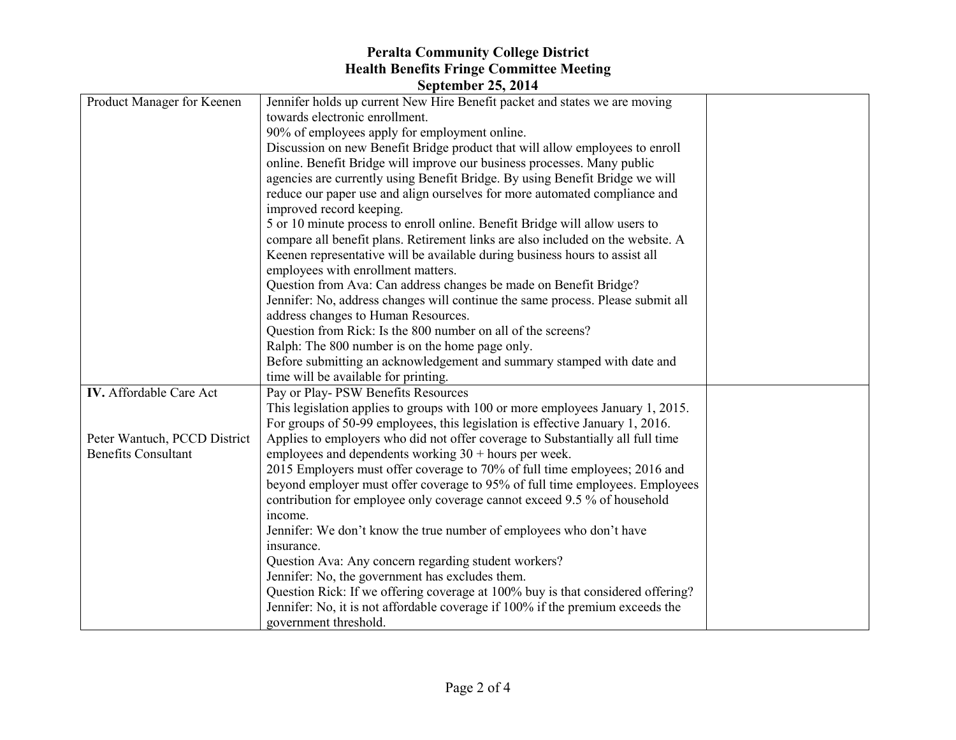## **Peralta Community College District Health Benefits Fringe Committee Meeting**

| <b>September 25, 2014</b>    |                                                                                 |  |  |  |
|------------------------------|---------------------------------------------------------------------------------|--|--|--|
| Product Manager for Keenen   | Jennifer holds up current New Hire Benefit packet and states we are moving      |  |  |  |
|                              | towards electronic enrollment.                                                  |  |  |  |
|                              | 90% of employees apply for employment online.                                   |  |  |  |
|                              | Discussion on new Benefit Bridge product that will allow employees to enroll    |  |  |  |
|                              | online. Benefit Bridge will improve our business processes. Many public         |  |  |  |
|                              | agencies are currently using Benefit Bridge. By using Benefit Bridge we will    |  |  |  |
|                              | reduce our paper use and align ourselves for more automated compliance and      |  |  |  |
|                              | improved record keeping.                                                        |  |  |  |
|                              | 5 or 10 minute process to enroll online. Benefit Bridge will allow users to     |  |  |  |
|                              | compare all benefit plans. Retirement links are also included on the website. A |  |  |  |
|                              | Keenen representative will be available during business hours to assist all     |  |  |  |
|                              | employees with enrollment matters.                                              |  |  |  |
|                              | Question from Ava: Can address changes be made on Benefit Bridge?               |  |  |  |
|                              | Jennifer: No, address changes will continue the same process. Please submit all |  |  |  |
|                              | address changes to Human Resources.                                             |  |  |  |
|                              | Question from Rick: Is the 800 number on all of the screens?                    |  |  |  |
|                              | Ralph: The 800 number is on the home page only.                                 |  |  |  |
|                              | Before submitting an acknowledgement and summary stamped with date and          |  |  |  |
|                              | time will be available for printing.                                            |  |  |  |
| IV. Affordable Care Act      | Pay or Play-PSW Benefits Resources                                              |  |  |  |
|                              | This legislation applies to groups with 100 or more employees January 1, 2015.  |  |  |  |
|                              | For groups of 50-99 employees, this legislation is effective January 1, 2016.   |  |  |  |
| Peter Wantuch, PCCD District | Applies to employers who did not offer coverage to Substantially all full time  |  |  |  |
| <b>Benefits Consultant</b>   | employees and dependents working $30 +$ hours per week.                         |  |  |  |
|                              | 2015 Employers must offer coverage to 70% of full time employees; 2016 and      |  |  |  |
|                              | beyond employer must offer coverage to 95% of full time employees. Employees    |  |  |  |
|                              | contribution for employee only coverage cannot exceed 9.5 % of household        |  |  |  |
|                              | income.                                                                         |  |  |  |
|                              | Jennifer: We don't know the true number of employees who don't have             |  |  |  |
|                              | insurance.                                                                      |  |  |  |
|                              | Question Ava: Any concern regarding student workers?                            |  |  |  |
|                              | Jennifer: No, the government has excludes them.                                 |  |  |  |
|                              | Question Rick: If we offering coverage at 100% buy is that considered offering? |  |  |  |
|                              | Jennifer: No, it is not affordable coverage if 100% if the premium exceeds the  |  |  |  |
|                              | government threshold.                                                           |  |  |  |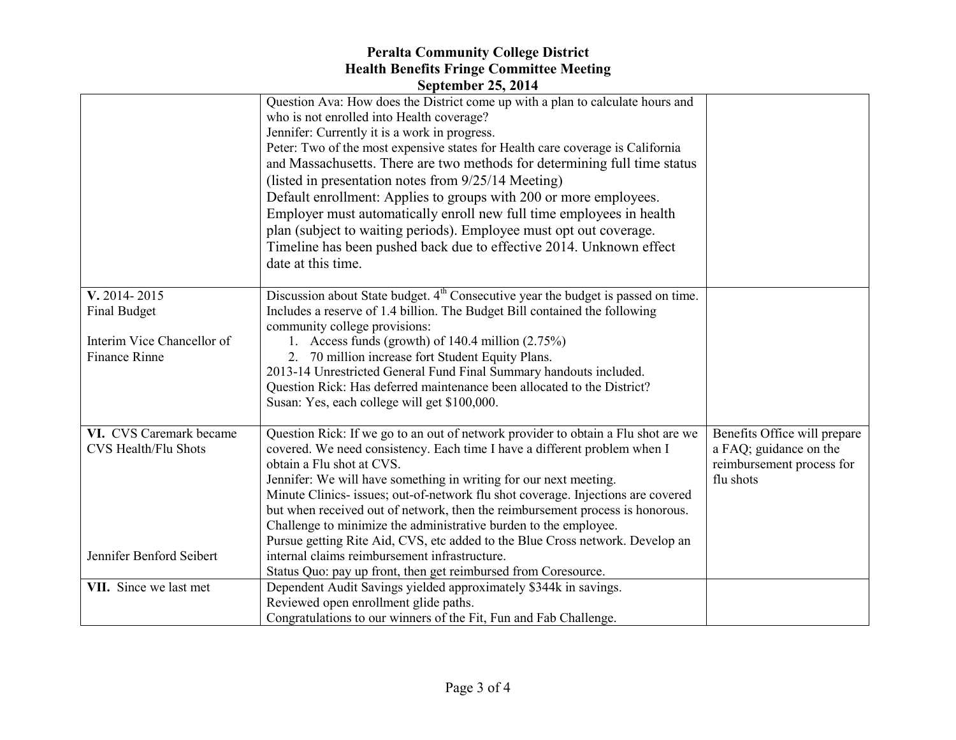## **Peralta Community College District Health Benefits Fringe Committee Meeting September 25, 2014**

|                             | $\mathcal{O}(\mathcal{V})$                                                                                                  |                              |
|-----------------------------|-----------------------------------------------------------------------------------------------------------------------------|------------------------------|
|                             | Question Ava: How does the District come up with a plan to calculate hours and<br>who is not enrolled into Health coverage? |                              |
|                             | Jennifer: Currently it is a work in progress.                                                                               |                              |
|                             | Peter: Two of the most expensive states for Health care coverage is California                                              |                              |
|                             | and Massachusetts. There are two methods for determining full time status                                                   |                              |
|                             | (listed in presentation notes from 9/25/14 Meeting)                                                                         |                              |
|                             | Default enrollment: Applies to groups with 200 or more employees.                                                           |                              |
|                             | Employer must automatically enroll new full time employees in health                                                        |                              |
|                             |                                                                                                                             |                              |
|                             | plan (subject to waiting periods). Employee must opt out coverage.                                                          |                              |
|                             | Timeline has been pushed back due to effective 2014. Unknown effect                                                         |                              |
|                             | date at this time.                                                                                                          |                              |
| V. 2014-2015                | Discussion about State budget. 4 <sup>th</sup> Consecutive year the budget is passed on time.                               |                              |
| <b>Final Budget</b>         | Includes a reserve of 1.4 billion. The Budget Bill contained the following                                                  |                              |
|                             | community college provisions:                                                                                               |                              |
| Interim Vice Chancellor of  | 1. Access funds (growth) of $140.4$ million $(2.75%)$                                                                       |                              |
| <b>Finance Rinne</b>        | 2. 70 million increase fort Student Equity Plans.                                                                           |                              |
|                             | 2013-14 Unrestricted General Fund Final Summary handouts included.                                                          |                              |
|                             | Question Rick: Has deferred maintenance been allocated to the District?                                                     |                              |
|                             | Susan: Yes, each college will get \$100,000.                                                                                |                              |
| VI. CVS Caremark became     | Question Rick: If we go to an out of network provider to obtain a Flu shot are we                                           | Benefits Office will prepare |
| <b>CVS Health/Flu Shots</b> | covered. We need consistency. Each time I have a different problem when I                                                   | a FAQ; guidance on the       |
|                             | obtain a Flu shot at CVS.                                                                                                   | reimbursement process for    |
|                             | Jennifer: We will have something in writing for our next meeting.                                                           | flu shots                    |
|                             | Minute Clinics- issues; out-of-network flu shot coverage. Injections are covered                                            |                              |
|                             | but when received out of network, then the reimbursement process is honorous.                                               |                              |
|                             | Challenge to minimize the administrative burden to the employee.                                                            |                              |
|                             | Pursue getting Rite Aid, CVS, etc added to the Blue Cross network. Develop an                                               |                              |
| Jennifer Benford Seibert    | internal claims reimbursement infrastructure.                                                                               |                              |
|                             | Status Quo: pay up front, then get reimbursed from Coresource.                                                              |                              |
| VII. Since we last met      | Dependent Audit Savings yielded approximately \$344k in savings.                                                            |                              |
|                             | Reviewed open enrollment glide paths.                                                                                       |                              |
|                             | Congratulations to our winners of the Fit, Fun and Fab Challenge.                                                           |                              |